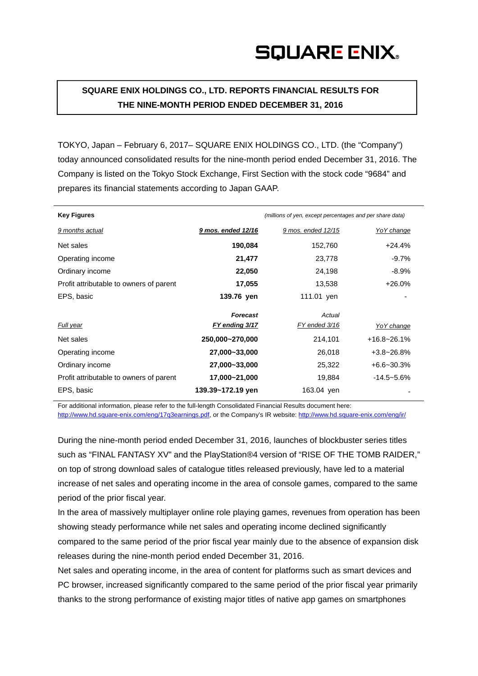**SQUARE ENIX HOLDINGS CO., LTD. REPORTS FINANCIAL RESULTS FOR THE NINE-MONTH PERIOD ENDED DECEMBER 31, 2016** 

TOKYO, Japan – February 6, 2017– SQUARE ENIX HOLDINGS CO., LTD. (the "Company") today announced consolidated results for the nine-month period ended December 31, 2016. The Company is listed on the Tokyo Stock Exchange, First Section with the stock code "9684" and prepares its financial statements according to Japan GAAP.

| <b>Key Figures</b>                      |                    | (millions of yen, except percentages and per share data) |                   |
|-----------------------------------------|--------------------|----------------------------------------------------------|-------------------|
| 9 months actual                         | 9 mos. ended 12/16 | 9 mos. ended 12/15                                       | <b>YoY</b> change |
| Net sales                               | 190,084            | 152,760                                                  | $+24.4%$          |
| Operating income                        | 21,477             | 23,778                                                   | $-9.7%$           |
| Ordinary income                         | 22,050             | 24,198                                                   | -8.9%             |
| Profit attributable to owners of parent | 17,055             | 13,538                                                   | $+26.0%$          |
| EPS, basic                              | 139.76 yen         | 111.01 yen                                               |                   |
|                                         | <b>Forecast</b>    | Actual                                                   |                   |
| Full year                               | FY ending 3/17     | FY ended 3/16                                            | Yo Y change       |
| Net sales                               | 250,000~270,000    | 214,101                                                  | $+16.8 - 26.1%$   |
| Operating income                        | 27,000~33,000      | 26,018                                                   | $+3.8 - 26.8%$    |
| Ordinary income                         | 27,000~33,000      | 25,322                                                   | $+6.6 - 30.3%$    |
| Profit attributable to owners of parent | 17,000~21,000      | 19,884                                                   | $-14.5 - 5.6%$    |
| EPS, basic                              | 139.39~172.19 yen  | 163.04 yen                                               |                   |

For additional information, please refer to the full-length Consolidated Financial Results document here: http://www.hd.square-enix.com/eng/17q3earnings.pdf, or the Company's IR website: http://www.hd.square-enix.com/eng/ir/

During the nine-month period ended December 31, 2016, launches of blockbuster series titles such as "FINAL FANTASY XV" and the PlayStation®4 version of "RISE OF THE TOMB RAIDER," on top of strong download sales of catalogue titles released previously, have led to a material increase of net sales and operating income in the area of console games, compared to the same period of the prior fiscal year.

In the area of massively multiplayer online role playing games, revenues from operation has been showing steady performance while net sales and operating income declined significantly compared to the same period of the prior fiscal year mainly due to the absence of expansion disk releases during the nine-month period ended December 31, 2016.

Net sales and operating income, in the area of content for platforms such as smart devices and PC browser, increased significantly compared to the same period of the prior fiscal year primarily thanks to the strong performance of existing major titles of native app games on smartphones